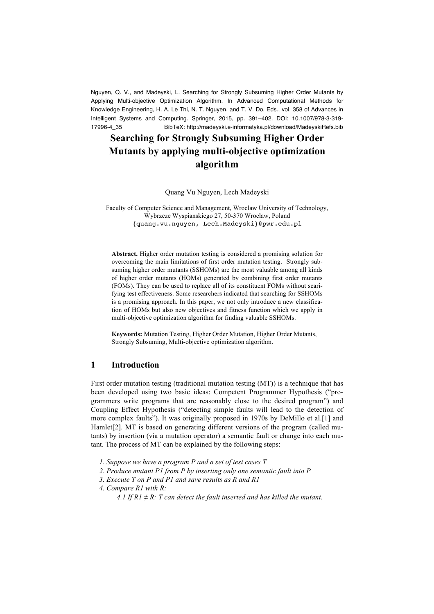Nguyen, Q. V., and Madeyski, L. Searching for Strongly Subsuming Higher Order Mutants by Applying Multi-objective Optimization Algorithm. In Advanced Computational Methods for Knowledge Engineering, H. A. Le Thi, N. T. Nguyen, and T. V. Do, Eds., vol. 358 of Advances in Intelligent Systems and Computing. Springer, 2015, pp. 391–402. DOI: 10.1007/978-3-319- 17996-4\_35 BibTeX: http://madeyski.e-informatyka.pl/download/MadeyskiRefs.bib

# **Searching for Strongly Subsuming Higher Order Mutants by applying multi-objective optimization algorithm**

Quang Vu Nguyen, Lech Madeyski

Faculty of Computer Science and Management, Wroclaw University of Technology, Wybrzeze Wyspianskiego 27, 50-370 Wroclaw, Poland {quang.vu.nguyen, Lech.Madeyski}@pwr.edu.pl

**Abstract.** Higher order mutation testing is considered a promising solution for overcoming the main limitations of first order mutation testing. Strongly subsuming higher order mutants (SSHOMs) are the most valuable among all kinds of higher order mutants (HOMs) generated by combining first order mutants (FOMs). They can be used to replace all of its constituent FOMs without scarifying test effectiveness. Some researchers indicated that searching for SSHOMs is a promising approach. In this paper, we not only introduce a new classification of HOMs but also new objectives and fitness function which we apply in multi-objective optimization algorithm for finding valuable SSHOMs.

**Keywords:** Mutation Testing, Higher Order Mutation, Higher Order Mutants, Strongly Subsuming, Multi-objective optimization algorithm.

## **1 Introduction**

First order mutation testing (traditional mutation testing (MT)) is a technique that has been developed using two basic ideas: Competent Programmer Hypothesis ("programmers write programs that are reasonably close to the desired program") and Coupling Effect Hypothesis ("detecting simple faults will lead to the detection of more complex faults"). It was originally proposed in 1970s by DeMillo et al.[1] and Hamlet<sup>[2]</sup>. MT is based on generating different versions of the program (called mutants) by insertion (via a mutation operator) a semantic fault or change into each mutant. The process of MT can be explained by the following steps:

- *1. Suppose we have a program P and a set of test cases T*
- *2. Produce mutant P1 from P by inserting only one semantic fault into P*
- *3. Execute T on P and P1 and save results as R and R1*
- *4. Compare R1 with R:*
	- *4.1 If R1*  $\neq$  *R: T can detect the fault inserted and has killed the mutant.*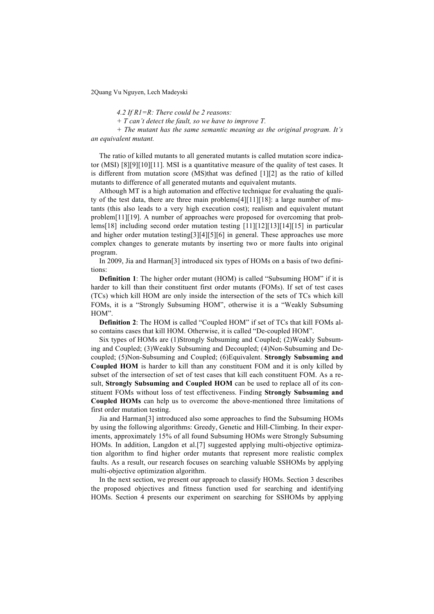*4.2 If R1=R: There could be 2 reasons:*

*+ T can't detect the fault, so we have to improve T.*

*+ The mutant has the same semantic meaning as the original program. It's an equivalent mutant.*

The ratio of killed mutants to all generated mutants is called mutation score indicator (MSI) [8][9][10][11]. MSI is a quantitative measure of the quality of test cases. It is different from mutation score (MS)that was defined [1][2] as the ratio of killed mutants to difference of all generated mutants and equivalent mutants.

Although MT is a high automation and effective technique for evaluating the quality of the test data, there are three main problems[4][11][18]: a large number of mutants (this also leads to a very high execution cost); realism and equivalent mutant problem[11][19]. A number of approaches were proposed for overcoming that problems[18] including second order mutation testing [11][12][13][14][15] in particular and higher order mutation testing[3][4][5][6] in general. These approaches use more complex changes to generate mutants by inserting two or more faults into original program.

In 2009, Jia and Harman[3] introduced six types of HOMs on a basis of two definitions:

**Definition 1**: The higher order mutant (HOM) is called "Subsuming HOM" if it is harder to kill than their constituent first order mutants (FOMs). If set of test cases (TCs) which kill HOM are only inside the intersection of the sets of TCs which kill FOMs, it is a "Strongly Subsuming HOM", otherwise it is a "Weakly Subsuming HOM".

**Definition 2**: The HOM is called "Coupled HOM" if set of TCs that kill FOMs also contains cases that kill HOM. Otherwise, it is called "De-coupled HOM".

Six types of HOMs are (1)Strongly Subsuming and Coupled; (2)Weakly Subsuming and Coupled; (3)Weakly Subsuming and Decoupled; (4)Non-Subsuming and Decoupled; (5)Non-Subsuming and Coupled; (6)Equivalent. **Strongly Subsuming and Coupled HOM** is harder to kill than any constituent FOM and it is only killed by subset of the intersection of set of test cases that kill each constituent FOM. As a result, **Strongly Subsuming and Coupled HOM** can be used to replace all of its constituent FOMs without loss of test effectiveness. Finding **Strongly Subsuming and Coupled HOMs** can help us to overcome the above-mentioned three limitations of first order mutation testing.

Jia and Harman[3] introduced also some approaches to find the Subsuming HOMs by using the following algorithms: Greedy, Genetic and Hill-Climbing. In their experiments, approximately 15% of all found Subsuming HOMs were Strongly Subsuming HOMs. In addition, Langdon et al.[7] suggested applying multi-objective optimization algorithm to find higher order mutants that represent more realistic complex faults. As a result, our research focuses on searching valuable SSHOMs by applying multi-objective optimization algorithm.

In the next section, we present our approach to classify HOMs. Section 3 describes the proposed objectives and fitness function used for searching and identifying HOMs. Section 4 presents our experiment on searching for SSHOMs by applying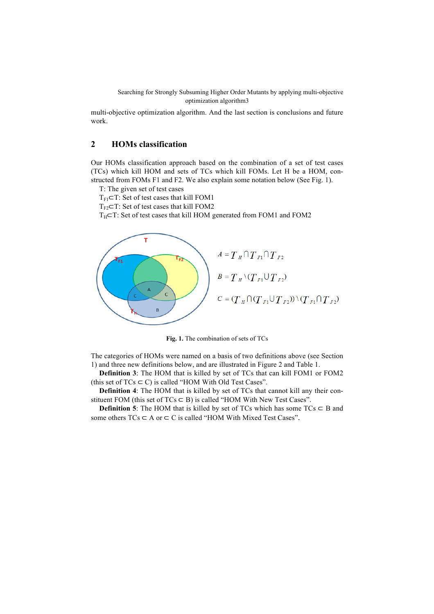multi-objective optimization algorithm. And the last section is conclusions and future work.

# **2 HOMs classification**

Our HOMs classification approach based on the combination of a set of test cases (TCs) which kill HOM and sets of TCs which kill FOMs. Let H be a HOM, constructed from FOMs F1 and F2. We also explain some notation below (See Fig. 1).

T: The given set of test cases

 $T_{FI}$ ⊂T: Set of test cases that kill FOM1

 $T_{F2}$  $\subset$ T: Set of test cases that kill FOM2

 $T_H$ ⊂T: Set of test cases that kill HOM generated from FOM1 and FOM2



**Fig. 1.** The combination of sets of TCs

The categories of HOMs were named on a basis of two definitions above (see Section 1) and three new definitions below, and are illustrated in Figure 2 and Table 1.

**Definition 3**: The HOM that is killed by set of TCs that can kill FOM1 or FOM2 (this set of  $TCs \subset C$ ) is called "HOM With Old Test Cases".

**Definition 4**: The HOM that is killed by set of TCs that cannot kill any their constituent FOM (this set of  $TCs \subseteq B$ ) is called "HOM With New Test Cases".

**Definition 5**: The HOM that is killed by set of TCs which has some  $TCs \subset B$  and some others  $TCs \subset A$  or  $\subset C$  is called "HOM With Mixed Test Cases".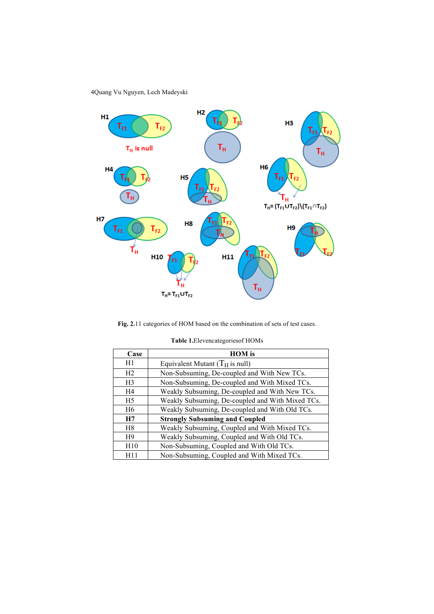

**Fig. 2.**11 categories of HOM based on the combination of sets of test cases.

| Case           | <b>HOM</b> is                                    |
|----------------|--------------------------------------------------|
| H1             | Equivalent Mutant $(T_H$ is null)                |
| H <sub>2</sub> | Non-Subsuming, De-coupled and With New TCs.      |
| H <sub>3</sub> | Non-Subsuming, De-coupled and With Mixed TCs.    |
| H <sub>4</sub> | Weakly Subsuming, De-coupled and With New TCs.   |
| H <sub>5</sub> | Weakly Subsuming, De-coupled and With Mixed TCs. |
| H <sub>6</sub> | Weakly Subsuming, De-coupled and With Old TCs.   |
| H7             | <b>Strongly Subsuming and Coupled</b>            |
| H <sup>8</sup> | Weakly Subsuming, Coupled and With Mixed TCs.    |
| H <sub>9</sub> | Weakly Subsuming, Coupled and With Old TCs.      |
| H10            | Non-Subsuming, Coupled and With Old TCs.         |
| H11            | Non-Subsuming, Coupled and With Mixed TCs.       |

| Table 1. Elevencategories of HOMs |
|-----------------------------------|
|-----------------------------------|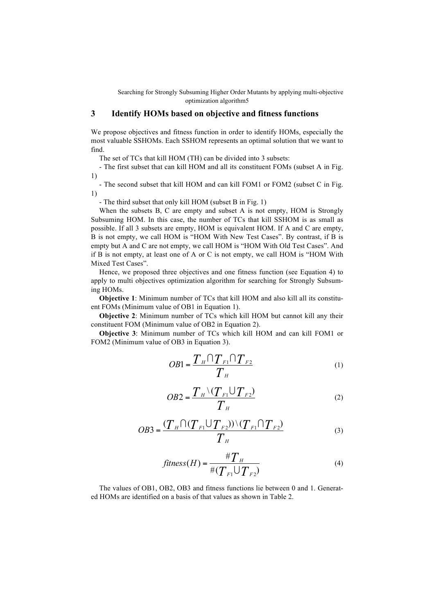# **3 Identify HOMs based on objective and fitness functions**

We propose objectives and fitness function in order to identify HOMs, especially the most valuable SSHOMs. Each SSHOM represents an optimal solution that we want to find.

The set of TCs that kill HOM (TH) can be divided into 3 subsets:

- The first subset that can kill HOM and all its constituent FOMs (subset A in Fig. 1)

- The second subset that kill HOM and can kill FOM1 or FOM2 (subset C in Fig. 1)

- The third subset that only kill HOM (subset B in Fig. 1)

When the subsets B, C are empty and subset A is not empty, HOM is Strongly Subsuming HOM. In this case, the number of TCs that kill SSHOM is as small as possible. If all 3 subsets are empty, HOM is equivalent HOM. If A and C are empty, B is not empty, we call HOM is "HOM With New Test Cases". By contrast, if B is empty but A and C are not empty, we call HOM is "HOM With Old Test Cases". And if B is not empty, at least one of A or C is not empty, we call HOM is "HOM With Mixed Test Cases".

Hence, we proposed three objectives and one fitness function (see Equation 4) to apply to multi objectives optimization algorithm for searching for Strongly Subsuming HOMs.

**Objective 1**: Minimum number of TCs that kill HOM and also kill all its constituent FOMs (Minimum value of OB1 in Equation 1).

**Objective 2**: Minimum number of TCs which kill HOM but cannot kill any their constituent FOM (Minimum value of OB2 in Equation 2).

**Objective 3**: Minimum number of TCs which kill HOM and can kill FOM1 or FOM2 (Minimum value of OB3 in Equation 3).

$$
OBI = \frac{T_H \cap T_{F1} \cap T_{F2}}{T_H} \tag{1}
$$

$$
OB2 = \frac{T_H \setminus (T_{F1} \cup T_{F2})}{T_H} \tag{2}
$$

$$
OB3 = \frac{(T_H \cap (T_{F1} \cup T_{F2})) \setminus (T_{F1} \cap T_{F2})}{T_H}
$$
(3)

$$
fitness(H) = \frac{\#T_H}{\#(T_{F1} \cup T_{F2})}
$$
\n<sup>(4)</sup>

The values of OB1, OB2, OB3 and fitness functions lie between 0 and 1. Generated HOMs are identified on a basis of that values as shown in Table 2.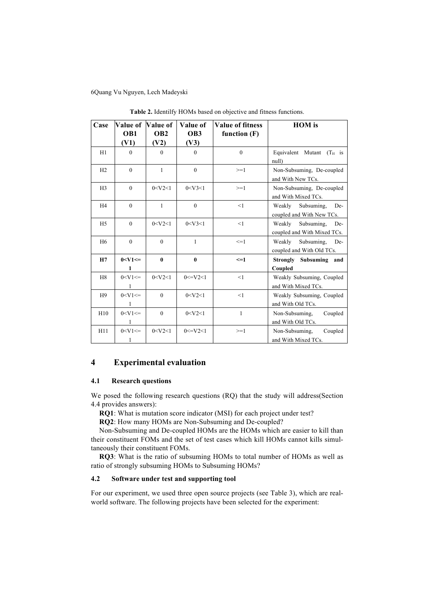| Case           | <b>Value of</b>  | Value of                | Value of       | <b>Value of fitness</b> | <b>HOM</b> is                                              |
|----------------|------------------|-------------------------|----------------|-------------------------|------------------------------------------------------------|
|                | OB1<br>(V1)      | OB <sub>2</sub><br>(V2) | OB3<br>(V3)    | function $(F)$          |                                                            |
| H1             | $\theta$         | $\theta$                | $\mathbf{0}$   | $\theta$                | Equivalent Mutant $(T_H$ is<br>null)                       |
| H2             | $\theta$         | 1                       | $\mathbf{0}$   | $>=1$                   | Non-Subsuming, De-coupled<br>and With New TCs.             |
| H <sub>3</sub> | $\theta$         | 0 < V2 < 1              | 0 < V3 < 1     | $>=1$                   | Non-Subsuming, De-coupled<br>and With Mixed TCs.           |
| H <sub>4</sub> | $\theta$         | $\mathbf{1}$            | $\theta$       | <1                      | Weakly<br>Subsuming,<br>De-<br>coupled and With New TCs.   |
| H <sub>5</sub> | $\theta$         | 0 < V2 < 1              | 0 < V3 < 1     | <1                      | Subsuming,<br>Weakly<br>De-<br>coupled and With Mixed TCs. |
| H <sub>6</sub> | $\theta$         | $\theta$                | $\mathbf{1}$   | $\leq$ =1               | Weakly<br>Subsuming,<br>De-<br>coupled and With Old TCs.   |
| H7             | $0 < V1 ==$<br>1 | $\mathbf{0}$            | $\bf{0}$       | $\leq$ -1               | Strongly<br><b>Subsuming</b><br>and<br>Coupled             |
| H <sub>8</sub> | $0 < V1 ==$<br>1 | 0 < V2 < 1              | $0 < = V2 < 1$ | <1                      | Weakly Subsuming, Coupled<br>and With Mixed TCs.           |
| H <sub>9</sub> | $0 < V1 ==$<br>1 | $\theta$                | 0 < V2 < 1     | <1                      | Weakly Subsuming, Coupled<br>and With Old TCs.             |
| H10            | $0 < V1 ==$<br>1 | $\mathbf{0}$            | 0 < V2 < 1     | $\mathbf{1}$            | Non-Subsuming,<br>Coupled<br>and With Old TCs.             |
| H11            | $0 < V1 ==$<br>1 | 0 < V2 < 1              | $0 < = V2 < 1$ | $>=1$                   | Non-Subsuming,<br>Coupled<br>and With Mixed TCs.           |

**Table 2.** Identilfy HOMs based on objective and fitness functions.

# **4 Experimental evaluation**

### **4.1 Research questions**

We posed the following research questions (RQ) that the study will address(Section 4.4 provides answers):

**RQ1**: What is mutation score indicator (MSI) for each project under test?

**RQ2**: How many HOMs are Non-Subsuming and De-coupled?

Non-Subsuming and De-coupled HOMs are the HOMs which are easier to kill than their constituent FOMs and the set of test cases which kill HOMs cannot kills simultaneously their constituent FOMs.

**RQ3**: What is the ratio of subsuming HOMs to total number of HOMs as well as ratio of strongly subsuming HOMs to Subsuming HOMs?

### **4.2 Software under test and supporting tool**

For our experiment, we used three open source projects (see Table 3), which are realworld software. The following projects have been selected for the experiment: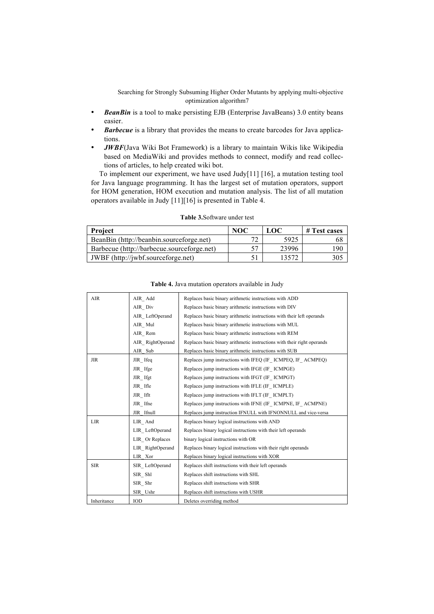- *BeanBin* is a tool to make persisting EJB (Enterprise JavaBeans) 3.0 entity beans easier.
- *Barbecue* is a library that provides the means to create barcodes for Java applications.
- *JWBF*(Java Wiki Bot Framework) is a library to maintain Wikis like Wikipedia based on MediaWiki and provides methods to connect, modify and read collections of articles, to help created wiki bot.

To implement our experiment, we have used Judy[11] [16], a mutation testing tool for Java language programming. It has the largest set of mutation operators, support for HOM generation, HOM execution and mutation analysis. The list of all mutation operators available in Judy [11][16] is presented in Table 4.

| <b>Project</b>                             | NOC | LOC   | # Test cases |
|--------------------------------------------|-----|-------|--------------|
| BeanBin (http://beanbin.sourceforge.net)   |     | 5925  | 68           |
| Barbecue (http://barbecue.sourceforge.net) | ヒワ  | 23996 | 90           |
| JWBF (http://jwbf.sourceforge.net)         |     | 13572 |              |

| <b>Table 3.</b> Software under test |  |
|-------------------------------------|--|
|-------------------------------------|--|

| AIR         | AIR Add          | Replaces basic binary arithmetic instructions with ADD                  |
|-------------|------------------|-------------------------------------------------------------------------|
|             | AIR Div          | Replaces basic binary arithmetic instructions with DIV                  |
|             | AIR LeftOperand  | Replaces basic binary arithmetic instructions with their left operands  |
|             | AIR Mul          | Replaces basic binary arithmetic instructions with MUL                  |
|             | AIR Rem          | Replaces basic binary arithmetic instructions with REM                  |
|             | AIR RightOperand | Replaces basic binary arithmetic instructions with their right operands |
|             | AIR Sub          | Replaces basic binary arithmetic instructions with SUB                  |
| <b>JIR</b>  | JIR Ifeq         | Replaces jump instructions with IFEQ (IF ICMPEQ, IF ACMPEQ)             |
|             | JIR Ifge         | Replaces jump instructions with IFGE (IF ICMPGE)                        |
|             | JIR Ifgt         | Replaces jump instructions with IFGT (IF ICMPGT)                        |
|             | JIR Ifle         | Replaces jump instructions with IFLE (IF ICMPLE)                        |
|             | JIR Iflt         | Replaces jump instructions with IFLT (IF ICMPLT)                        |
|             | JIR Ifne         | Replaces jump instructions with IFNE (IF ICMPNE, IF ACMPNE)             |
|             | JIR Ifnull       | Replaces jump instruction IFNULL with IFNONNULL and vice-versa          |
| <b>LIR</b>  | LIR And          | Replaces binary logical instructions with AND                           |
|             | LIR LeftOperand  | Replaces binary logical instructions with their left operands           |
|             | LIR Or Replaces  | binary logical instructions with OR                                     |
|             | LIR RightOperand | Replaces binary logical instructions with their right operands          |
|             | LIR Xor          | Replaces binary logical instructions with XOR                           |
| <b>SIR</b>  | SIR LeftOperand  | Replaces shift instructions with their left operands                    |
|             | SIR Shl          | Replaces shift instructions with SHL                                    |
|             | SIR Shr          | Replaces shift instructions with SHR                                    |
|             | SIR Ushr         | Replaces shift instructions with USHR                                   |
| Inheritance | IOD              | Deletes overriding method                                               |

| Table 4. Java mutation operators available in Judy |  |  |  |  |
|----------------------------------------------------|--|--|--|--|
|----------------------------------------------------|--|--|--|--|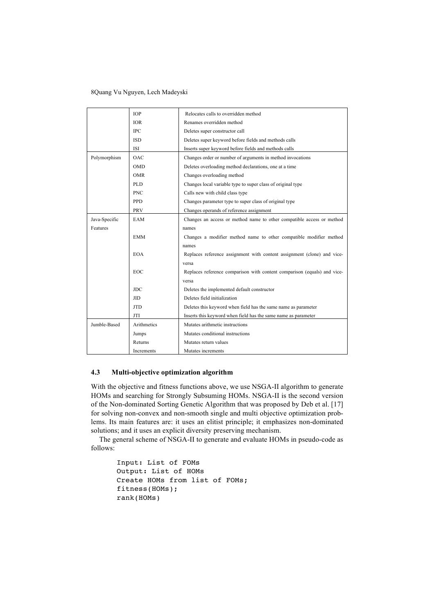|               | <b>TOP</b>  | Relocates calls to overridden method                                     |  |  |
|---------------|-------------|--------------------------------------------------------------------------|--|--|
|               | <b>IOR</b>  | Renames overridden method                                                |  |  |
|               | <b>IPC</b>  | Deletes super constructor call                                           |  |  |
|               | <b>ISD</b>  | Deletes super keyword before fields and methods calls                    |  |  |
|               | <b>ISI</b>  | Inserts super keyword before fields and methods calls                    |  |  |
| Polymorphism  | OAC         | Changes order or number of arguments in method invocations               |  |  |
|               | <b>OMD</b>  | Deletes overloading method declarations, one at a time                   |  |  |
|               | <b>OMR</b>  | Changes overloading method                                               |  |  |
|               | <b>PLD</b>  | Changes local variable type to super class of original type              |  |  |
|               | <b>PNC</b>  | Calls new with child class type                                          |  |  |
|               | <b>PPD</b>  | Changes parameter type to super class of original type                   |  |  |
|               | PRV         | Changes operands of reference assignment                                 |  |  |
| Java-Specific | EAM         | Changes an access or method name to other compatible access or method    |  |  |
| Features      |             | names                                                                    |  |  |
|               | <b>EMM</b>  | Changes a modifier method name to other compatible modifier method       |  |  |
|               |             | names                                                                    |  |  |
|               | <b>EOA</b>  | Replaces reference assignment with content assignment (clone) and vice-  |  |  |
|               |             | versa                                                                    |  |  |
|               | <b>EOC</b>  | Replaces reference comparison with content comparison (equals) and vice- |  |  |
|               |             | versa                                                                    |  |  |
|               | JDC         | Deletes the implemented default constructor                              |  |  |
|               | <b>JID</b>  | Deletes field initialization                                             |  |  |
|               | <b>JTD</b>  | Deletes this keyword when field has the same name as parameter           |  |  |
|               | JTI         | Inserts this keyword when field has the same name as parameter           |  |  |
| Jumble-Based  | Arithmetics | Mutates arithmetic instructions                                          |  |  |
|               | Jumps       | Mutates conditional instructions                                         |  |  |
|               | Returns     | Mutates return values                                                    |  |  |
|               | Increments  | Mutates increments                                                       |  |  |

#### **4.3 Multi-objective optimization algorithm**

With the objective and fitness functions above, we use NSGA-II algorithm to generate HOMs and searching for Strongly Subsuming HOMs. NSGA-II is the second version of the Non-dominated Sorting Genetic Algorithm that was proposed by Deb et al. [17] for solving non-convex and non-smooth single and multi objective optimization problems. Its main features are: it uses an elitist principle; it emphasizes non-dominated solutions; and it uses an explicit diversity preserving mechanism.

The general scheme of NSGA-II to generate and evaluate HOMs in pseudo-code as follows:

```
Input: List of FOMs
Output: List of HOMs
Create HOMs from list of FOMs;
fitness(HOMs);
rank(HOMs)
```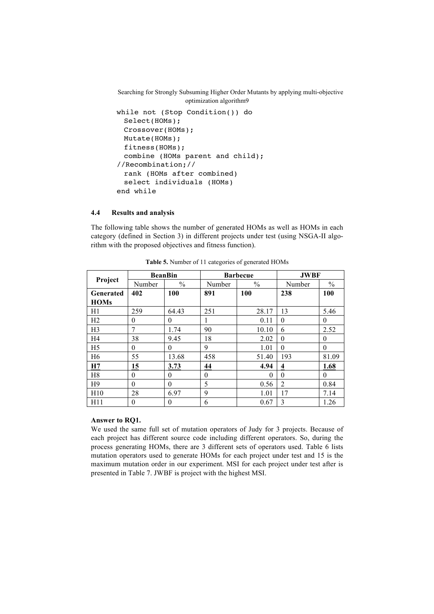```
while not (Stop Condition()) do
 Select(HOMs);
 Crossover(HOMs);
 Mutate(HOMs);
 fitness(HOMs);
 combine (HOMs parent and child); 
//Recombination;//
 rank (HOMs after combined)
 select individuals (HOMs)
end while
```
### **4.4 Results and analysis**

The following table shows the number of generated HOMs as well as HOMs in each category (defined in Section 3) in different projects under test (using NSGA-II algorithm with the proposed objectives and fitness function).

|                |          | <b>BeanBin</b> |          | <b>Barbecue</b> |                | <b>JWBF</b> |  |
|----------------|----------|----------------|----------|-----------------|----------------|-------------|--|
| Project        | Number   | $\%$           | Number   | $\frac{0}{0}$   | Number         | $\%$        |  |
| Generated      | 402      | 100            | 891      | 100             | 238            | 100         |  |
| <b>HOMs</b>    |          |                |          |                 |                |             |  |
| H1             | 259      | 64.43          | 251      | 28.17           | 13             | 5.46        |  |
| H <sub>2</sub> | $\theta$ | $\theta$       |          | 0.11            | $\theta$       | $\theta$    |  |
| H <sub>3</sub> | 7        | 1.74           | 90       | 10.10           | 6              | 2.52        |  |
| H4             | 38       | 9.45           | 18       | 2.02            | $\theta$       | $\theta$    |  |
| H <sub>5</sub> | $\theta$ | $\theta$       | 9        | 1.01            | $\Omega$       | $\theta$    |  |
| H <sub>6</sub> | 55       | 13.68          | 458      | 51.40           | 193            | 81.09       |  |
| H7             | 15       | 3.73           | 44       | 4.94            | 4              | 1.68        |  |
| H <sub>8</sub> | $\Omega$ | $\theta$       | $\theta$ | $\Omega$        | $\theta$       | $\Omega$    |  |
| H <sub>9</sub> | $\theta$ | $\theta$       | 5        | 0.56            | $\overline{2}$ | 0.84        |  |
| H10            | 28       | 6.97           | 9        | 1.01            | 17             | 7.14        |  |
| H11            | $\theta$ | $\theta$       | 6        | 0.67            | 3              | 1.26        |  |

**Table 5.** Number of 11 categories of generated HOMs

### **Answer to RQ1.**

We used the same full set of mutation operators of Judy for 3 projects. Because of each project has different source code including different operators. So, during the process generating HOMs, there are 3 different sets of operators used. Table 6 lists mutation operators used to generate HOMs for each project under test and 15 is the maximum mutation order in our experiment. MSI for each project under test after is presented in Table 7. JWBF is project with the highest MSI.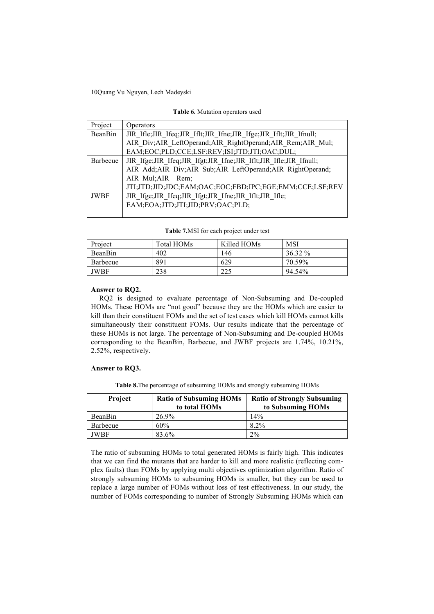| Table 6. Mutation operators used |  |  |  |
|----------------------------------|--|--|--|
|----------------------------------|--|--|--|

| Project     | Operators                                                               |  |  |  |  |  |
|-------------|-------------------------------------------------------------------------|--|--|--|--|--|
| BeanBin     | JIR Ifle; JIR Ifeq; JIR Iflt; JIR Ifne; JIR Ifge; JIR Iflt; JIR Ifnull; |  |  |  |  |  |
|             | AIR Div;AIR LeftOperand;AIR RightOperand;AIR Rem;AIR Mul;               |  |  |  |  |  |
|             | EAM;EOC;PLD;CCE;LSF;REV;ISI;JTD;JTI;OAC;DUL;                            |  |  |  |  |  |
| Barbecue    | JIR Ifge; JIR Ifeq; JIR Ifgt; JIR Ifne; JIR Iflt; JIR Ifle; JIR Ifnull; |  |  |  |  |  |
|             | AIR Add; AIR Div; AIR Sub; AIR LeftOperand; AIR RightOperand;           |  |  |  |  |  |
|             | AIR Mul;AIR Rem;                                                        |  |  |  |  |  |
|             | JTI;JTD;JID;JDC;EAM;OAC;EOC;FBD;IPC;EGE;EMM;CCE;LSF;REV                 |  |  |  |  |  |
| <b>JWBF</b> | JIR Ifge; JIR Ifeq; JIR Ifgt; JIR Ifne; JIR Iflt; JIR Ifle;             |  |  |  |  |  |
|             | EAM;EOA;JTD;JTI;JID;PRV;OAC;PLD;                                        |  |  |  |  |  |
|             |                                                                         |  |  |  |  |  |

**Table 7.**MSI for each project under test

| Project  | Total HOMs | Killed HOMs | <b>MSI</b> |
|----------|------------|-------------|------------|
| BeanBin  | 402        | 146         | $36.32\%$  |
| Barbecue | 891        | 629         | 70.59%     |
| JWBF     | 238        | 225         | 94.54%     |

**Answer to RQ2.**

RQ2 is designed to evaluate percentage of Non-Subsuming and De-coupled HOMs. These HOMs are "not good" because they are the HOMs which are easier to kill than their constituent FOMs and the set of test cases which kill HOMs cannot kills simultaneously their constituent FOMs. Our results indicate that the percentage of these HOMs is not large. The percentage of Non-Subsuming and De-coupled HOMs corresponding to the BeanBin, Barbecue, and JWBF projects are 1.74%, 10.21%, 2.52%, respectively.

#### **Answer to RQ3.**

**Table 8.**The percentage of subsuming HOMs and strongly subsuming HOMs

| <b>Project</b> | <b>Ratio of Subsuming HOMs</b><br>to total HOMs | <b>Ratio of Strongly Subsuming</b><br>to Subsuming HOMs |
|----------------|-------------------------------------------------|---------------------------------------------------------|
| BeanBin        | 26.9%                                           | 14%                                                     |
| Barbecue       | 60%                                             | $8.2\%$                                                 |
| JWBF           | 83.6%                                           | 2%                                                      |

The ratio of subsuming HOMs to total generated HOMs is fairly high. This indicates that we can find the mutants that are harder to kill and more realistic (reflecting complex faults) than FOMs by applying multi objectives optimization algorithm. Ratio of strongly subsuming HOMs to subsuming HOMs is smaller, but they can be used to replace a large number of FOMs without loss of test effectiveness. In our study, the number of FOMs corresponding to number of Strongly Subsuming HOMs which can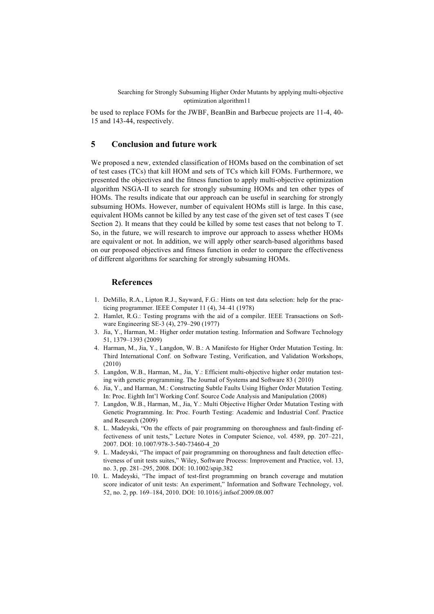be used to replace FOMs for the JWBF, BeanBin and Barbecue projects are 11-4, 40- 15 and 143-44, respectively.

# **5 Conclusion and future work**

We proposed a new, extended classification of HOMs based on the combination of set of test cases (TCs) that kill HOM and sets of TCs which kill FOMs. Furthermore, we presented the objectives and the fitness function to apply multi-objective optimization algorithm NSGA-II to search for strongly subsuming HOMs and ten other types of HOMs. The results indicate that our approach can be useful in searching for strongly subsuming HOMs. However, number of equivalent HOMs still is large. In this case, equivalent HOMs cannot be killed by any test case of the given set of test cases T (see Section 2). It means that they could be killed by some test cases that not belong to T. So, in the future, we will research to improve our approach to assess whether HOMs are equivalent or not. In addition, we will apply other search-based algorithms based on our proposed objectives and fitness function in order to compare the effectiveness of different algorithms for searching for strongly subsuming HOMs.

#### **References**

- 1. DeMillo, R.A., Lipton R.J., Sayward, F.G.: Hints on test data selection: help for the practicing programmer. IEEE Computer 11 (4), 34–41 (1978)
- 2. Hamlet, R.G.: Testing programs with the aid of a compiler. IEEE Transactions on Software Engineering SE-3 (4), 279–290 (1977)
- 3. Jia, Y., Harman, M.: Higher order mutation testing. Information and Software Technology 51, 1379–1393 (2009)
- 4. Harman, M., Jia, Y., Langdon, W. B.: A Manifesto for Higher Order Mutation Testing. In: Third International Conf. on Software Testing, Verification, and Validation Workshops, (2010)
- 5. Langdon, W.B., Harman, M., Jia, Y.: Efficient multi-objective higher order mutation testing with genetic programming. The Journal of Systems and Software 83 ( 2010)
- 6. Jia, Y., and Harman, M.: Constructing Subtle Faults Using Higher Order Mutation Testing. In: Proc. Eighth Int'l Working Conf. Source Code Analysis and Manipulation (2008)
- 7. Langdon, W.B., Harman, M., Jia, Y.: Multi Objective Higher Order Mutation Testing with Genetic Programming. In: Proc. Fourth Testing: Academic and Industrial Conf. Practice and Research (2009)
- 8. L. Madeyski, "On the effects of pair programming on thoroughness and fault-finding effectiveness of unit tests," Lecture Notes in Computer Science, vol. 4589, pp. 207–221, 2007. DOI: 10.1007/978-3-540-73460-4\_20
- 9. L. Madeyski, "The impact of pair programming on thoroughness and fault detection effectiveness of unit tests suites," Wiley, Software Process: Improvement and Practice, vol. 13, no. 3, pp. 281–295, 2008. DOI: 10.1002/spip.382
- 10. L. Madeyski, "The impact of test-first programming on branch coverage and mutation score indicator of unit tests: An experiment," Information and Software Technology, vol. 52, no. 2, pp. 169–184, 2010. DOI: 10.1016/j.infsof.2009.08.007